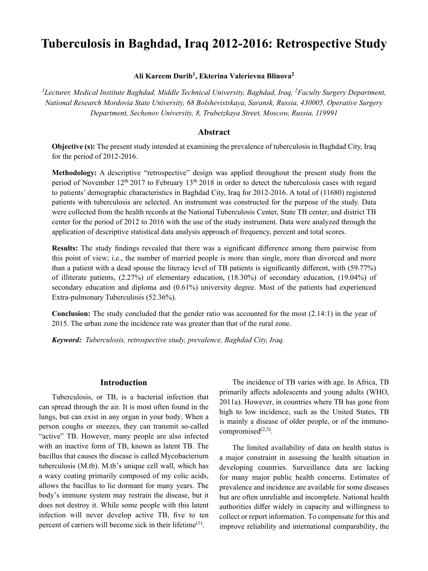# **Tuberculosis in Baghdad, Iraq 2012-2016: Retrospective Study**

## **Ali Kareem Durib<sup>1</sup> , Ekterina Valerievna Blinova<sup>2</sup>**

<sup>1</sup>Lecturer, Medical Institute Baghdad, Middle Technical University, Baghdad, Iraq, <sup>2</sup>*Faculty Surgery Department, National Research Mordovia State University, 68 Bolshevistskaya, Saransk, Russia, 430005, Operative Surgery Department, Sechenov University, 8, Trubetzkaya Street, Moscow, Russia, 119991*

# **Abstract**

**Objective (s):** The present study intended at examining the prevalence of tuberculosis in Baghdad City, Iraq for the period of 2012-2016.

**Methodology:** A descriptive "retrospective" design was applied throughout the present study from the period of November  $12<sup>th</sup> 2017$  to February  $13<sup>th</sup> 2018$  in order to detect the tuberculosis cases with regard to patients' demographic characteristics in Baghdad City, Iraq for 2012-2016. A total of (11680) registered patients with tuberculosis are selected. An instrument was constructed for the purpose of the study. Data were collected from the health records at the National Tuberculosis Center, State TB center, and district TB center for the period of 2012 to 2016 with the use of the study instrument. Data were analyzed through the application of descriptive statistical data analysis approach of frequency, percent and total scores.

**Results:** The study findings revealed that there was a significant difference among them pairwise from this point of view; i.e., the number of married people is more than single, more than divorced and more than a patient with a dead spouse the literacy level of TB patients is significantly different, with (59.77%) of illiterate patients, (2.27%) of elementary education, (18.30%) of secondary education, (19.04%) of secondary education and diploma and (0.61%) university degree. Most of the patients had experienced Extra-pulmonary Tuberculosis (52.36%).

**Conclusion:** The study concluded that the gender ratio was accounted for the most (2.14:1) in the year of 2015. The urban zone the incidence rate was greater than that of the rural zone.

*Keyword: Tuberculosis, retrospective study, prevalence, Baghdad City, Iraq.*

### **Introduction**

Tuberculosis, or TB, is a bacterial infection that can spread through the air. It is most often found in the lungs, but can exist in any organ in your body. When a person coughs or sneezes, they can transmit so-called "active" TB. However, many people are also infected with an inactive form of TB, known as latent TB. The bacillus that causes the disease is called Mycobacterium tuberculosis (M.tb). M.tb's unique cell wall, which has a waxy coating primarily composed of my colic acids, allows the bacillus to lie dormant for many years. The body's immune system may restrain the disease, but it does not destroy it. While some people with this latent infection will never develop active TB, five to ten percent of carriers will become sick in their lifetime<sup> $(1)$ </sup>.

The incidence of TB varies with age. In Africa, TB primarily affects adolescents and young adults (WHO, 2011a). However, in countries where TB has gone from high to low incidence, such as the United States, TB is mainly a disease of older people, or of the immunocompromised $^{(2,3)}$ .

The limited availability of data on health status is a major constraint in assessing the health situation in developing countries. Surveillance data are lacking for many major public health concerns. Estimates of prevalence and incidence are available for some diseases but are often unreliable and incomplete. National health authorities differ widely in capacity and willingness to collect or report information. To compensate for this and improve reliability and international comparability, the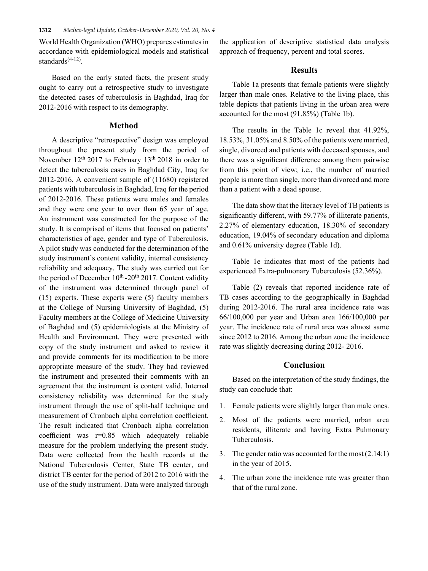World Health Organization (WHO) prepares estimates in accordance with epidemiological models and statistical standards $(4-12)$ .

Based on the early stated facts, the present study ought to carry out a retrospective study to investigate the detected cases of tuberculosis in Baghdad, Iraq for 2012-2016 with respect to its demography.

### **Method**

A descriptive "retrospective" design was employed throughout the present study from the period of November 12th 2017 to February 13th 2018 in order to detect the tuberculosis cases in Baghdad City, Iraq for 2012-2016. A convenient sample of (11680) registered patients with tuberculosis in Baghdad, Iraq for the period of 2012-2016. These patients were males and females and they were one year to over than 65 year of age. An instrument was constructed for the purpose of the study. It is comprised of items that focused on patients' characteristics of age, gender and type of Tuberculosis. A pilot study was conducted for the determination of the study instrument's content validity, internal consistency reliability and adequacy. The study was carried out for the period of December  $10^{th}$ -20<sup>th</sup> 2017. Content validity of the instrument was determined through panel of (15) experts. These experts were (5) faculty members at the College of Nursing University of Baghdad, (5) Faculty members at the College of Medicine University of Baghdad and (5) epidemiologists at the Ministry of Health and Environment. They were presented with copy of the study instrument and asked to review it and provide comments for its modification to be more appropriate measure of the study. They had reviewed the instrument and presented their comments with an agreement that the instrument is content valid. Internal consistency reliability was determined for the study instrument through the use of split-half technique and measurement of Cronbach alpha correlation coefficient. The result indicated that Cronbach alpha correlation coefficient was r=0.85 which adequately reliable measure for the problem underlying the present study. Data were collected from the health records at the National Tuberculosis Center, State TB center, and district TB center for the period of 2012 to 2016 with the use of the study instrument. Data were analyzed through

the application of descriptive statistical data analysis approach of frequency, percent and total scores.

### **Results**

Table 1a presents that female patients were slightly larger than male ones. Relative to the living place, this table depicts that patients living in the urban area were accounted for the most (91.85%) (Table 1b).

The results in the Table 1c reveal that 41.92%, 18.53%, 31.05% and 8.50% of the patients were married, single, divorced and patients with deceased spouses, and there was a significant difference among them pairwise from this point of view; i.e., the number of married people is more than single, more than divorced and more than a patient with a dead spouse.

The data show that the literacy level of TB patients is significantly different, with 59.77% of illiterate patients, 2.27% of elementary education, 18.30% of secondary education, 19.04% of secondary education and diploma and 0.61% university degree (Table 1d).

Table 1e indicates that most of the patients had experienced Extra-pulmonary Tuberculosis (52.36%).

Table (2) reveals that reported incidence rate of TB cases according to the geographically in Baghdad during 2012-2016. The rural area incidence rate was 66/100,000 per year and Urban area 166/100,000 per year. The incidence rate of rural area was almost same since 2012 to 2016. Among the urban zone the incidence rate was slightly decreasing during 2012- 2016.

## **Conclusion**

Based on the interpretation of the study findings, the study can conclude that:

- 1. Female patients were slightly larger than male ones.
- 2. Most of the patients were married, urban area residents, illiterate and having Extra Pulmonary Tuberculosis.
- 3. The gender ratio was accounted for the most (2.14:1) in the year of 2015.
- 4. The urban zone the incidence rate was greater than that of the rural zone.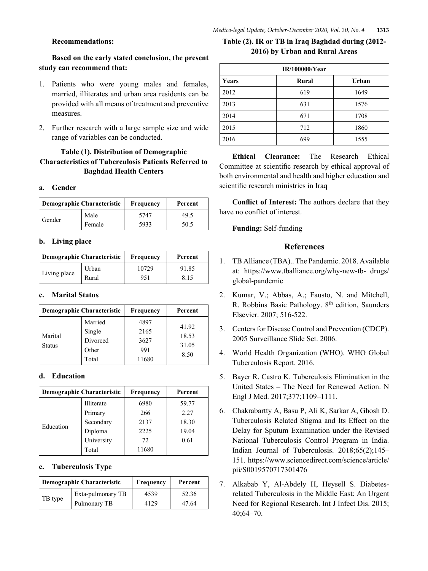### **Recommendations:**

# **Based on the early stated conclusion, the present study can recommend that:**

- 1. Patients who were young males and females, married, illiterates and urban area residents can be provided with all means of treatment and preventive measures.
- 2. Further research with a large sample size and wide range of variables can be conducted.

# **Table (1). Distribution of Demographic Characteristics of Tuberculosis Patients Referred to Baghdad Health Centers**

### **a. Gender**

| Demographic Characteristic |        | Frequency | Percent |
|----------------------------|--------|-----------|---------|
| Gender                     | Male   | 5747      | 49.5    |
|                            | Female | 5933      | 50.5    |

### **b. Living place**

| Demographic Characteristic |       | Frequency | Percent |
|----------------------------|-------|-----------|---------|
| Living place               | Urban | 10729     | 91.85   |
|                            | Rural | 951       | 8.15    |

#### **c. Marital Status**

| Demographic Characteristic |                                                 | Frequency                            | Percent                         |
|----------------------------|-------------------------------------------------|--------------------------------------|---------------------------------|
| Marital<br><b>Status</b>   | Married<br>Single<br>Divorced<br>Other<br>Total | 4897<br>2165<br>3627<br>991<br>11680 | 41.92<br>18.53<br>31.05<br>8.50 |

### **d. Education**

| Demographic Characteristic |            | Frequency | Percent |
|----------------------------|------------|-----------|---------|
| Education                  | Illiterate | 6980      | 59.77   |
|                            | Primary    | 266       | 2.27    |
|                            | Secondary  | 2137      | 18.30   |
|                            | Diploma    | 2225      | 19.04   |
|                            | University | 72        | 0.61    |
|                            | Total      | 11680     |         |

### **e. Tuberculosis Type**

| <b>Demographic Characteristic</b> |                   | Frequency | Percent |
|-----------------------------------|-------------------|-----------|---------|
| TB type                           | Exta-pulmonary TB | 4539      | 52.36   |
|                                   | Pulmonary TB      | 4129      | 47.64   |

# **Table (2). IR or TB in Iraq Baghdad during (2012- 2016) by Urban and Rural Areas**

| <b>IR/100000/Year</b> |       |       |  |
|-----------------------|-------|-------|--|
| Years                 | Rural | Urban |  |
| 2012                  | 619   | 1649  |  |
| 2013                  | 631   | 1576  |  |
| 2014                  | 671   | 1708  |  |
| 2015                  | 712   | 1860  |  |
| 2016                  | 699   | 1555  |  |

**Ethical Clearance:** The Research Ethical Committee at scientific research by ethical approval of both environmental and health and higher education and scientific research ministries in Iraq

**Conflict of Interest:** The authors declare that they have no conflict of interest.

**Funding:** Self-funding

### **References**

- 1. TB Alliance (TBA).. The Pandemic. 2018. Available at: https://www.tballiance.org/why-new-tb- drugs/ global-pandemic
- 2. Kumar, V.; Abbas, A.; Fausto, N. and Mitchell, R. Robbins Basic Pathology. 8<sup>th</sup> edition, Saunders Elsevier. 2007; 516-522.
- 3. Centers for Disease Control and Prevention (CDCP). 2005 Surveillance Slide Set. 2006.
- 4. World Health Organization (WHO). WHO Global Tuberculosis Report. 2016.
- 5. Bayer R, Castro K. Tuberculosis Elimination in the United States – The Need for Renewed Action. N Engl J Med. 2017;377;1109–1111.
- 6. Chakrabartty A, Basu P, Ali K, Sarkar A, Ghosh D. Tuberculosis Related Stigma and Its Effect on the Delay for Sputum Examination under the Revised National Tuberculosis Control Program in India. Indian Journal of Tuberculosis. 2018;65(2);145– 151. https://www.sciencedirect.com/science/article/ pii/S0019570717301476
- 7. Alkabab Y, Al-Abdely H, Heysell S. Diabetesrelated Tuberculosis in the Middle East: An Urgent Need for Regional Research. Int J Infect Dis. 2015; 40;64–70.